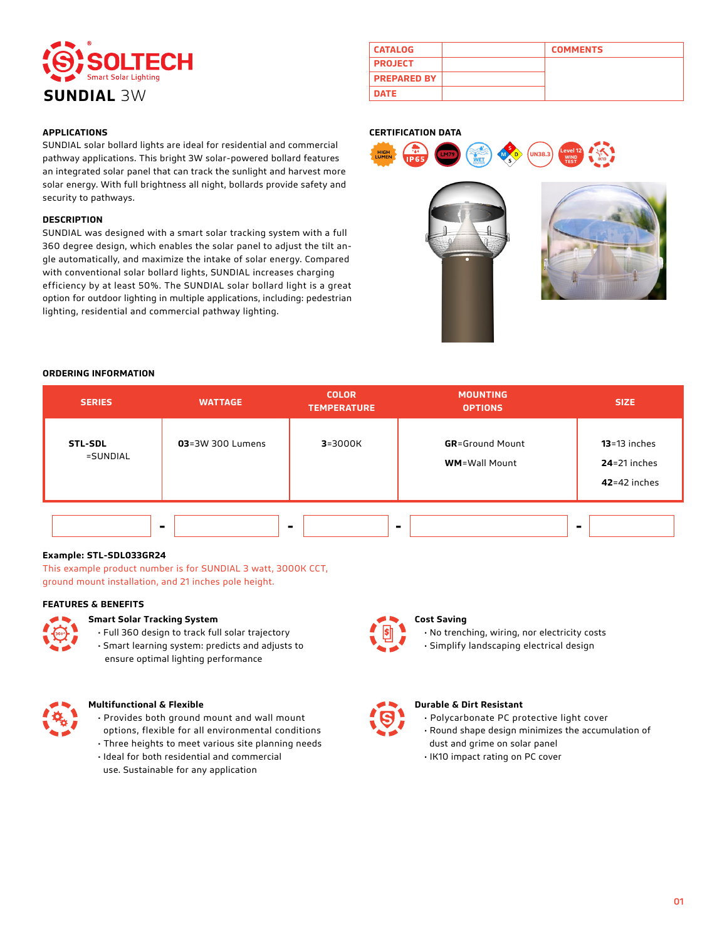

| <b>CATALOG</b>     | <b>COMMENTS</b> |
|--------------------|-----------------|
| <b>PROJECT</b>     |                 |
| <b>PREPARED BY</b> |                 |
| <b>DATE</b>        |                 |

## **APPLICATIONS**

SUNDIAL solar bollard lights are ideal for residential and commercial pathway applications. This bright 3W solar-powered bollard features an integrated solar panel that can track the sunlight and harvest more solar energy. With full brightness all night, bollards provide safety and security to pathways.

#### **DESCRIPTION**

SUNDIAL was designed with a smart solar tracking system with a full 360 degree design, which enables the solar panel to adjust the tilt angle automatically, and maximize the intake of solar energy. Compared with conventional solar bollard lights, SUNDIAL increases charging efficiency by at least 50%. The SUNDIAL solar bollard light is a great option for outdoor lighting in multiple applications, including: pedestrian lighting, residential and commercial pathway lighting.

## **CERTIFICATION DATA**





### **ORDERING INFORMATION**

| <b>SERIES</b>              | <b>WATTAGE</b>   | <b>COLOR</b><br><b>TEMPERATURE</b> | <b>MOUNTING</b><br><b>OPTIONS</b>               | <b>SIZE</b>                                            |
|----------------------------|------------------|------------------------------------|-------------------------------------------------|--------------------------------------------------------|
| <b>STL-SDL</b><br>=SUNDIAL | 03=3W 300 Lumens | $3 = 3000K$                        | <b>GR</b> =Ground Mount<br><b>WM=Wall Mount</b> | $13 = 13$ inches<br>$24=21$ inches<br>$42 = 42$ inches |
|                            |                  |                                    |                                                 |                                                        |

## **Example: STL-SDL033GR24**

This example product number is for SUNDIAL 3 watt, 3000K CCT, ground mount installation, and 21 inches pole height.

### **FEATURES & BENEFITS**



#### **Smart Solar Tracking System**

- Full 360 design to track full solar trajectory
- Smart learning system: predicts and adjusts to ensure optimal lighting performance



#### **Multifunctional & Flexible**

- Provides both ground mount and wall mount options, flexible for all environmental conditions • Three heights to meet various site planning needs
- Ideal for both residential and commercial
- use. Sustainable for any application

# **Cost Saving**

• No trenching, wiring, nor electricity costs



• Simplify landscaping electrical design



# **Durable & Dirt Resistant**

- Polycarbonate PC protective light cover
- Round shape design minimizes the accumulation of dust and grime on solar panel
- IK10 impact rating on PC cover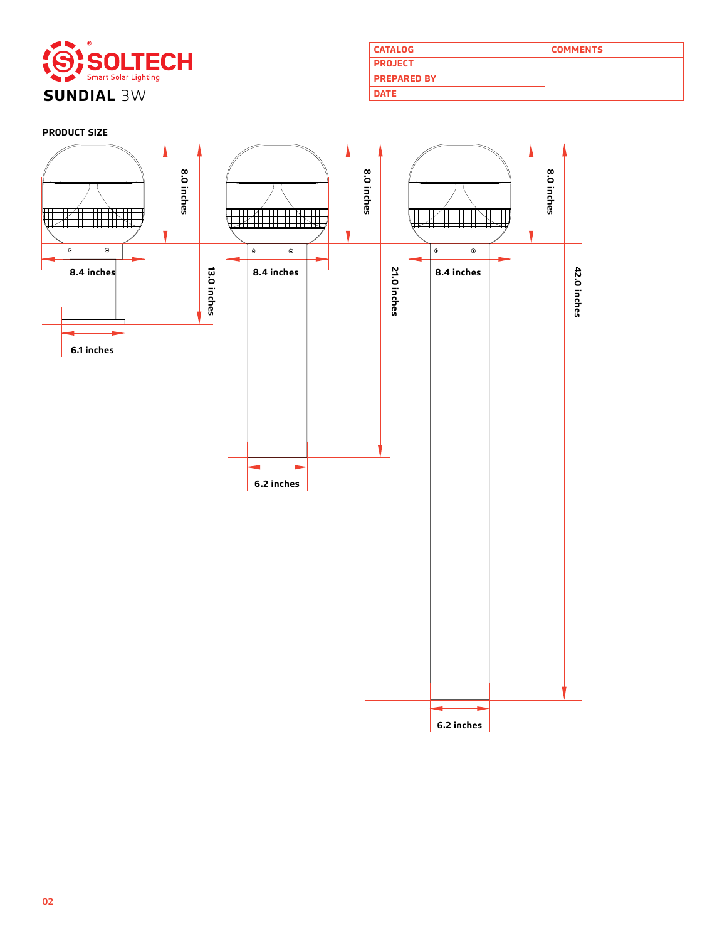

| <b>CATALOG</b>     | <b>COMMENTS</b> |
|--------------------|-----------------|
| <b>PROJECT</b>     |                 |
| <b>PREPARED BY</b> |                 |
| <b>DATE</b>        |                 |

# **PRODUCT SIZE**

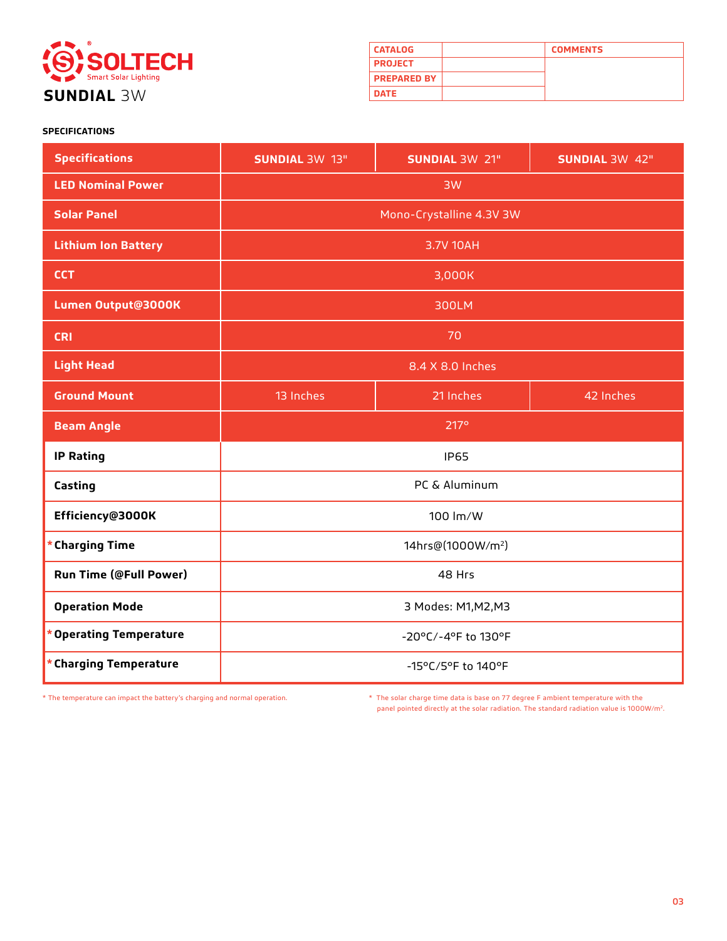

| <b>CATALOG</b>     | <b>COMMENTS</b> |
|--------------------|-----------------|
| <b>PROJECT</b>     |                 |
| <b>PREPARED BY</b> |                 |
| <b>DATE</b>        |                 |

# **SPECIFICATIONS**

| <b>Specifications</b>             | <b>SUNDIAL 3W 13"</b>               | <b>SUNDIAL 3W 21"</b>         | <b>SUNDIAL 3W 42"</b> |
|-----------------------------------|-------------------------------------|-------------------------------|-----------------------|
| <b>LED Nominal Power</b>          | 3W                                  |                               |                       |
| <b>Solar Panel</b>                | Mono-Crystalline 4.3V 3W            |                               |                       |
| <b>Lithium Ion Battery</b>        | 3.7V 10AH                           |                               |                       |
| <b>CCT</b>                        | 3,000K                              |                               |                       |
| Lumen Output@3000K                | 300LM                               |                               |                       |
| <b>CRI</b>                        | 70                                  |                               |                       |
| <b>Light Head</b>                 | 8.4 X 8.0 Inches                    |                               |                       |
| <b>Ground Mount</b>               | 13 Inches<br>21 Inches<br>42 Inches |                               |                       |
|                                   |                                     |                               |                       |
| <b>Beam Angle</b>                 |                                     | 217 <sup>°</sup>              |                       |
| <b>IP Rating</b>                  |                                     | <b>IP65</b>                   |                       |
| Casting                           |                                     | PC & Aluminum                 |                       |
| Efficiency@3000K                  |                                     | 100 lm/W                      |                       |
| * Charging Time                   |                                     | 14hrs@(1000W/m <sup>2</sup> ) |                       |
| <b>Run Time (@Full Power)</b>     |                                     | 48 Hrs                        |                       |
| <b>Operation Mode</b>             |                                     | 3 Modes: M1, M2, M3           |                       |
| <b>Operating Temperature</b><br>× |                                     | -20°C/-4°F to 130°F           |                       |

\* The temperature can impact the battery's charging and normal operation. \* The solar charge time data is base on 77 degree F ambient temperature with the panel pointed directly at the solar radiation. The standard radiation value is 1000W/m2.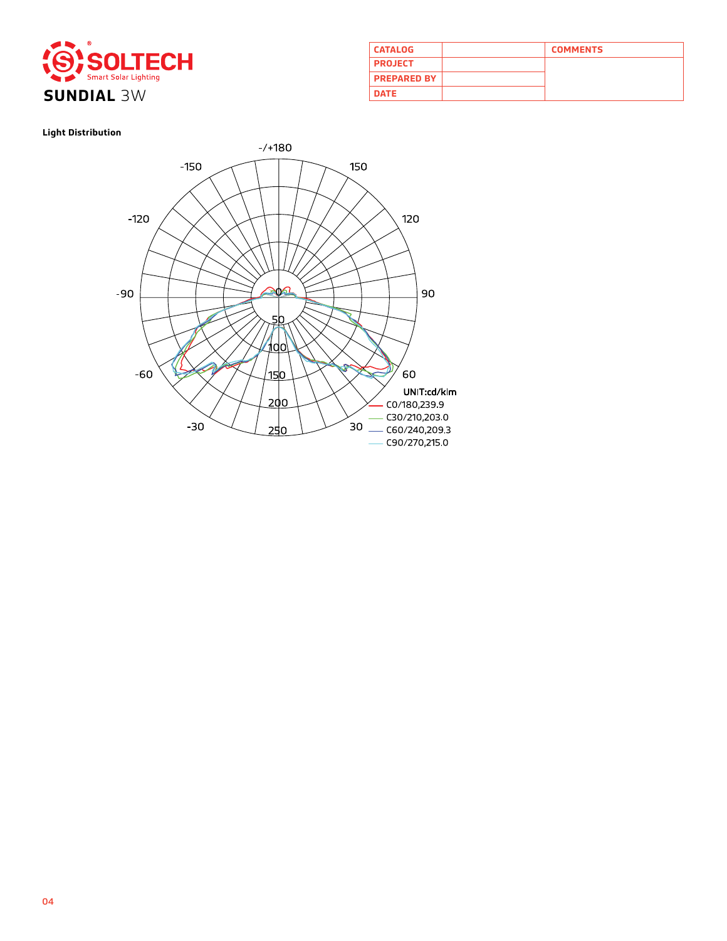

| <b>CATALOG</b>     | <b>COMMENTS</b> |
|--------------------|-----------------|
| <b>PROJECT</b>     |                 |
| <b>PREPARED BY</b> |                 |
| <b>DATE</b>        |                 |

# **Light Distribution**

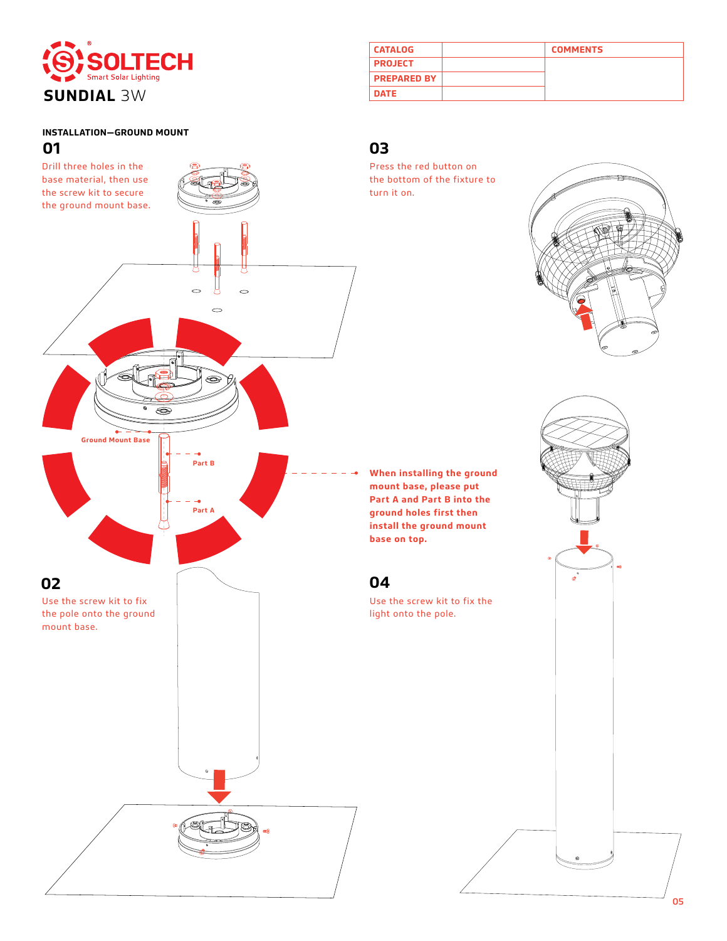

# **INSTALLATION—GROUND MOUNT**



| <b>CATALOG</b>     | <b>COMMENTS</b> |
|--------------------|-----------------|
| <b>PROJECT</b>     |                 |
| <b>PREPARED BY</b> |                 |
| <b>DATE</b>        |                 |

Press the red button on the bottom of the fixture to turn it on.



**When installing the ground mount base, please put Part A and Part B into the ground holes first then install the ground mount base on top.**

# **04**

Use the screw kit to fix the light onto the pole.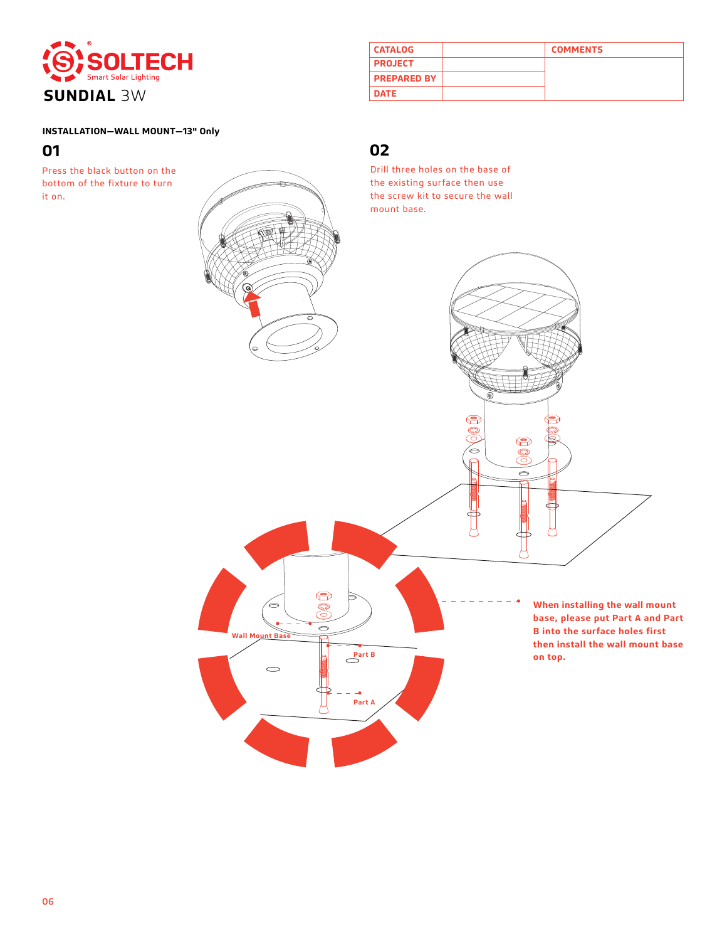

| <b>CATALOG</b>     | <b>COMMENTS</b> |
|--------------------|-----------------|
| <b>PROJECT</b>     |                 |
| <b>PREPARED BY</b> |                 |
| <b>DATE</b>        |                 |

# **INSTALLATION—WALL MOUNT—13" Only**

Press the black button on the bottom of the fixture to turn it on.

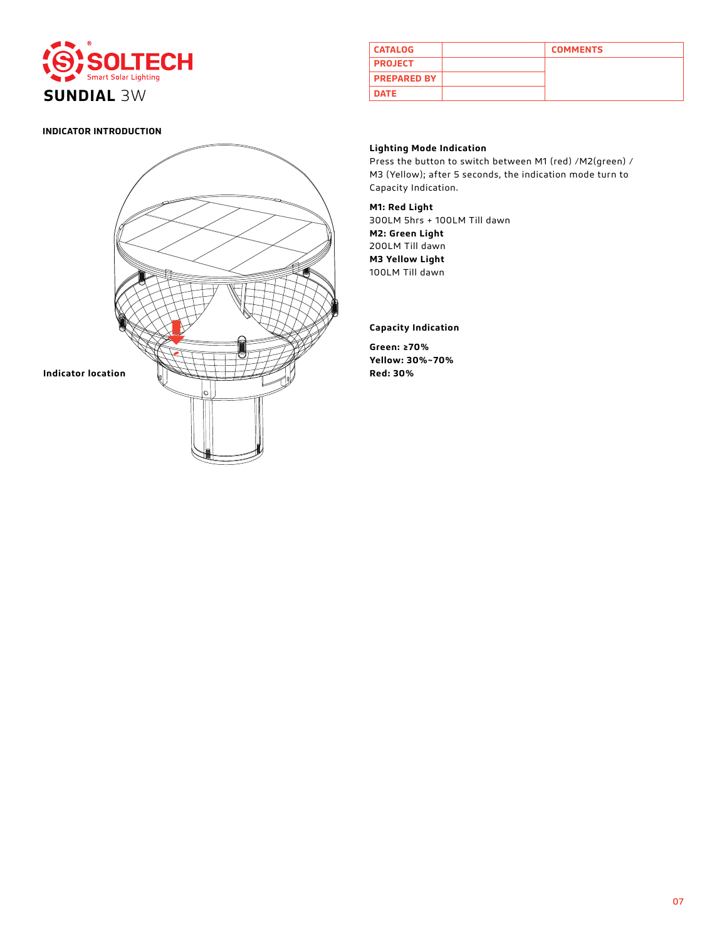

# **INDICATOR INTRODUCTION**



| <b>CATALOG</b>     | <b>COMMENTS</b> |
|--------------------|-----------------|
| <b>PROJECT</b>     |                 |
| <b>PREPARED BY</b> |                 |
| <b>DATE</b>        |                 |

# **Lighting Mode Indication**

Press the button to switch between M1 (red) /M2(green) / M3 (Yellow); after 5 seconds, the indication mode turn to Capacity Indication.

# **M1: Red Light**

300LM 5hrs + 100LM Till dawn **M2: Green Light** 200LM Till dawn **M3 Yellow Light** 100LM Till dawn

# **Capacity Indication**

**Green: ≥70% Yellow: 30%~70%**